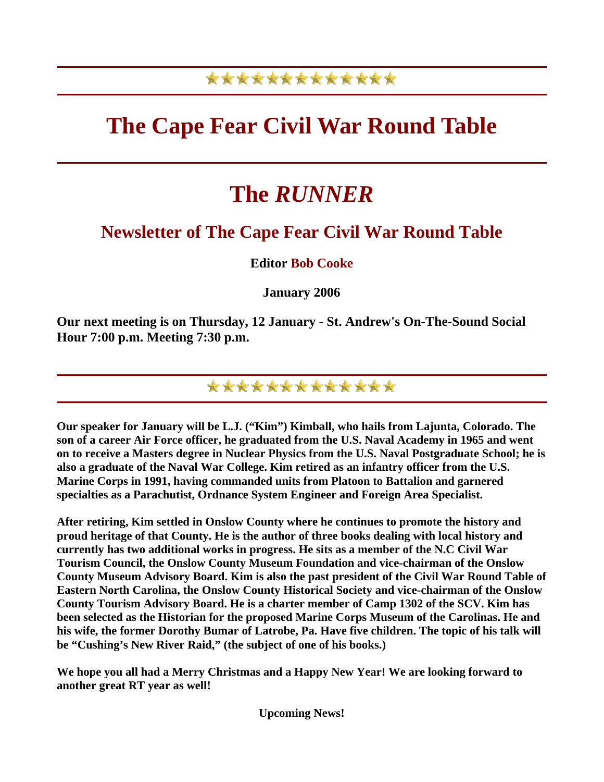### \*\*\*\*\*\*\*\*\*\*\*\*\*

## **The Cape Fear Civil War Round Table**

# **The** *RUNNER*

### **Newsletter of The Cape Fear Civil War Round Table**

#### **Editor Bob Cooke**

**January 2006** 

**Our next meeting is on Thursday, 12 January - St. Andrew's On-The-Sound Social Hour 7:00 p.m. Meeting 7:30 p.m.** 

\*\*\*\*\*\*\*\*\*\*\*\*\*

**Our speaker for January will be L.J. ("Kim") Kimball, who hails from Lajunta, Colorado. The son of a career Air Force officer, he graduated from the U.S. Naval Academy in 1965 and went on to receive a Masters degree in Nuclear Physics from the U.S. Naval Postgraduate School; he is also a graduate of the Naval War College. Kim retired as an infantry officer from the U.S. Marine Corps in 1991, having commanded units from Platoon to Battalion and garnered specialties as a Parachutist, Ordnance System Engineer and Foreign Area Specialist.** 

**After retiring, Kim settled in Onslow County where he continues to promote the history and proud heritage of that County. He is the author of three books dealing with local history and currently has two additional works in progress. He sits as a member of the N.C Civil War Tourism Council, the Onslow County Museum Foundation and vice-chairman of the Onslow County Museum Advisory Board. Kim is also the past president of the Civil War Round Table of Eastern North Carolina, the Onslow County Historical Society and vice-chairman of the Onslow County Tourism Advisory Board. He is a charter member of Camp 1302 of the SCV. Kim has been selected as the Historian for the proposed Marine Corps Museum of the Carolinas. He and his wife, the former Dorothy Bumar of Latrobe, Pa. Have five children. The topic of his talk will be "Cushing's New River Raid," (the subject of one of his books.)** 

**We hope you all had a Merry Christmas and a Happy New Year! We are looking forward to another great RT year as well!** 

**Upcoming News!**